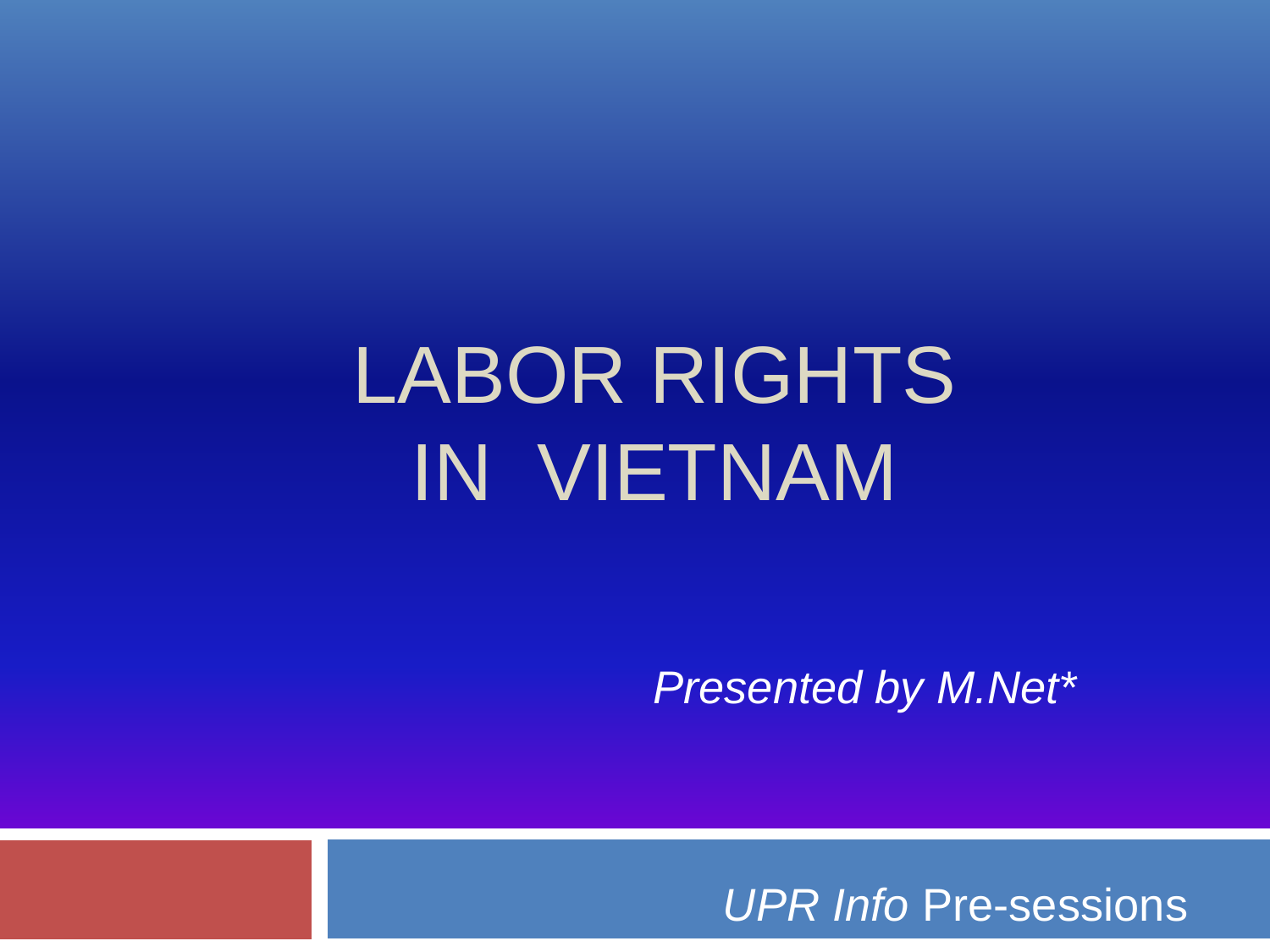# LABOR RIGHTS IN VIETNAM

*Presented by M.Net\**

*UPR Info* Pre-sessions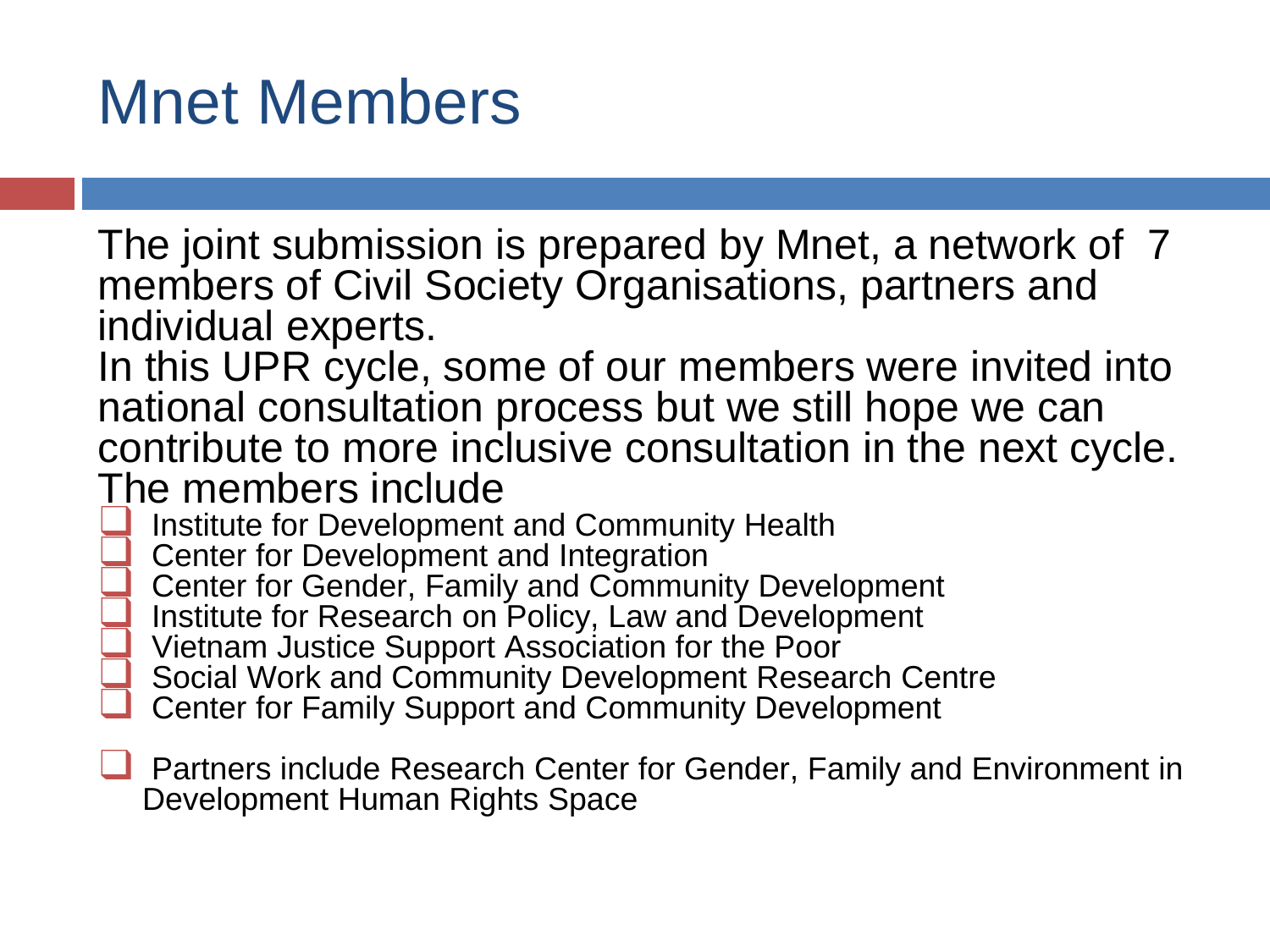#### Mnet Members

The joint submission is prepared by Mnet, a network of 7 members of Civil Society Organisations, partners and individual experts.

In this UPR cycle, some of our members were invited into national consultation process but we still hope we can contribute to more inclusive consultation in the next cycle. The members include

#### Institute for Development and Community Health

- ❑ Center for Development and Integration
- Center for Gender, Family and Community Development
- Institute for Research on Policy, Law and Development
- ❑ Vietnam Justice Support Association for the Poor
- Social Work and Community Development Research Centre
- ❑ Center for Family Support and Community Development
- ❑ Partners include Research Center for Gender, Family and Environment in Development Human Rights Space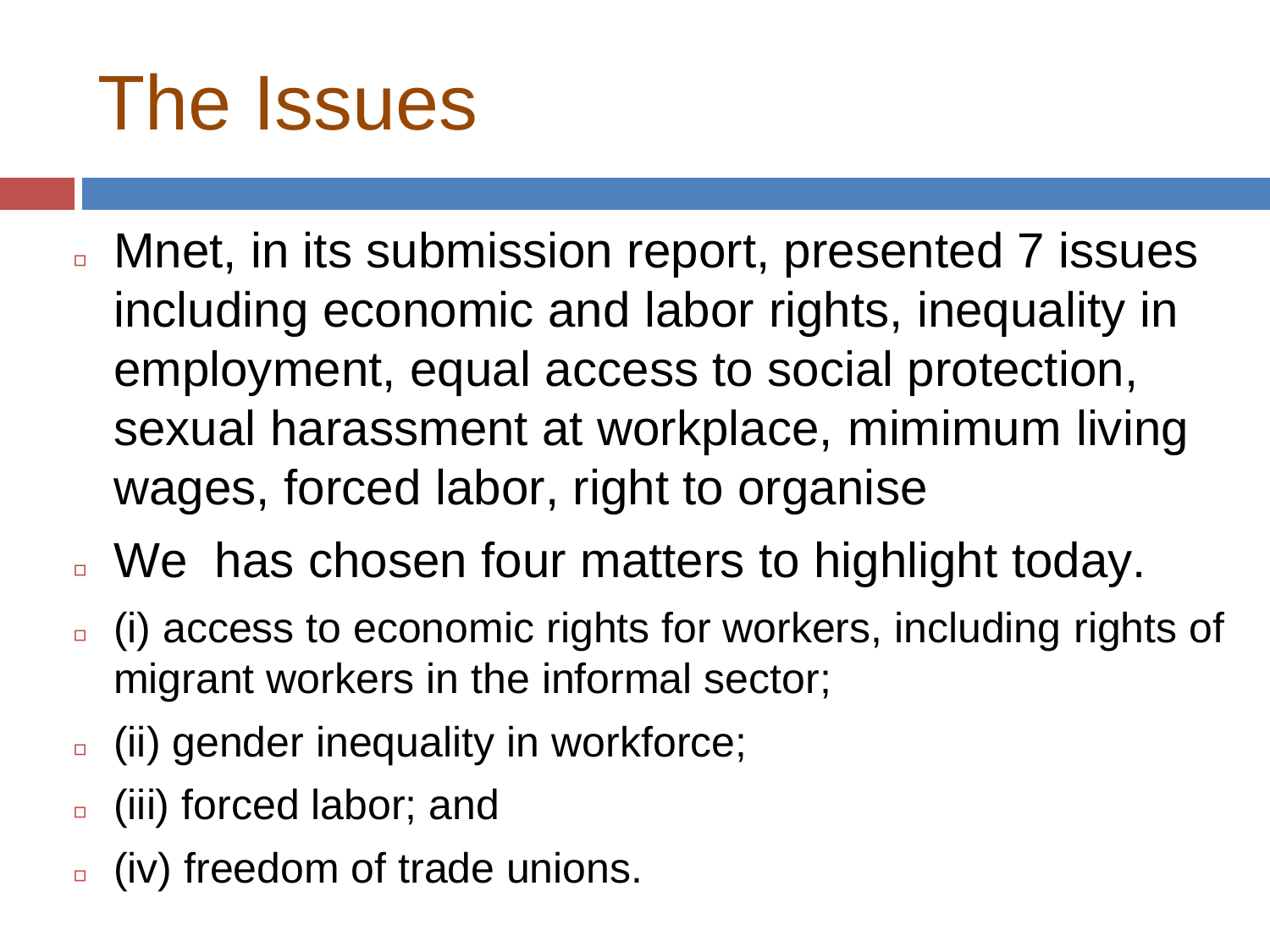# The Issues

- Mnet, in its submission report, presented 7 issues including economic and labor rights, inequality in employment, equal access to social protection, sexual harassment at workplace, mimimum living wages, forced labor, right to organise
- We has chosen four matters to highlight today.
- <sup>◻</sup> (i) access to economic rights for workers, including rights of migrant workers in the informal sector;
- <sup>◻</sup> (ii) gender inequality in workforce;
- <sup>◻</sup> (iii) forced labor; and
- <sup>◻</sup> (iv) freedom of trade unions.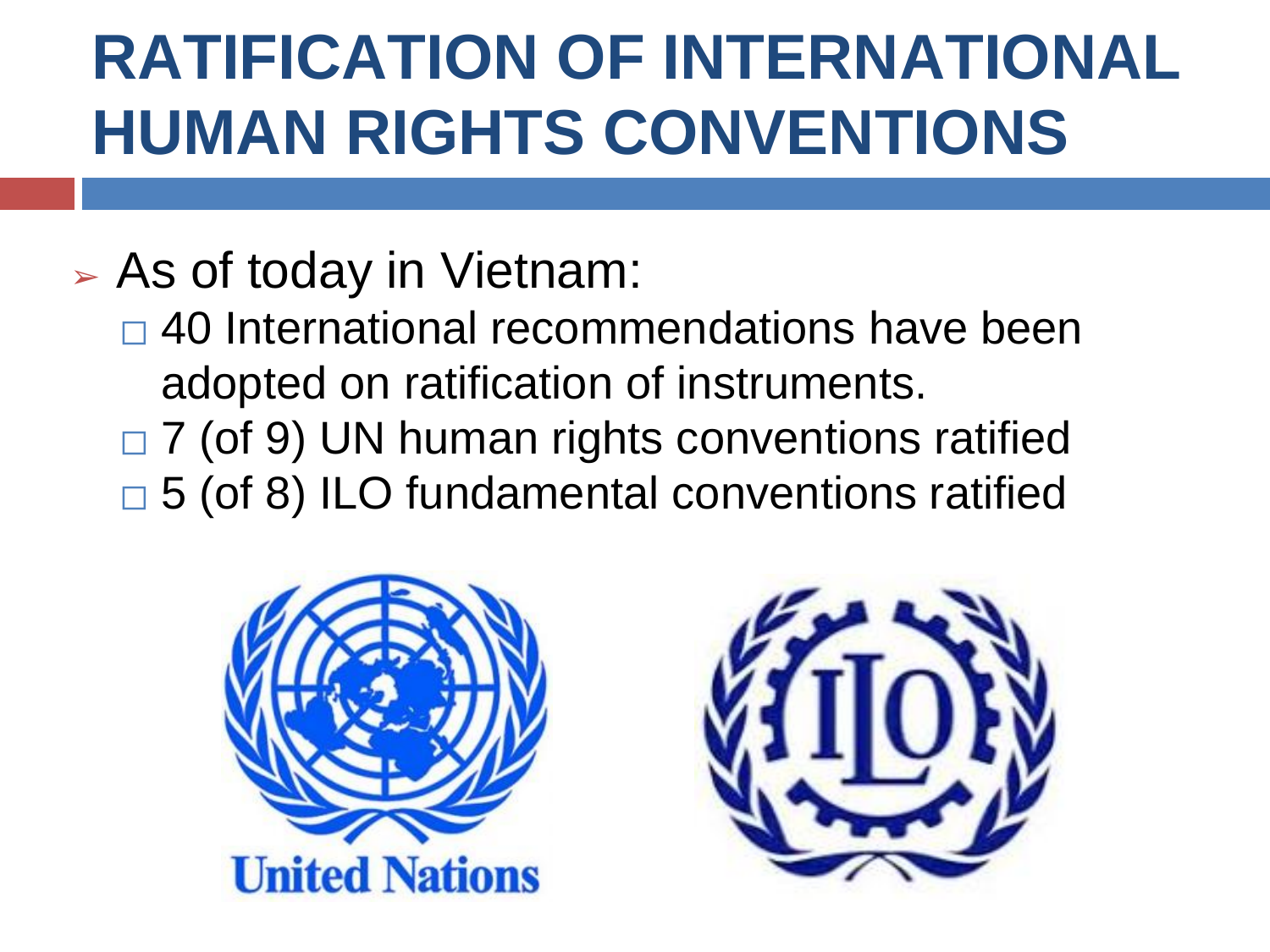## **RATIFICATION OF INTERNATIONAL HUMAN RIGHTS CONVENTIONS**

#### ➢ As of today in Vietnam:

- $\Box$  40 International recommendations have been adopted on ratification of instruments.
- $\Box$  7 (of 9) UN human rights conventions ratified  $\Box$  5 (of 8) ILO fundamental conventions ratified



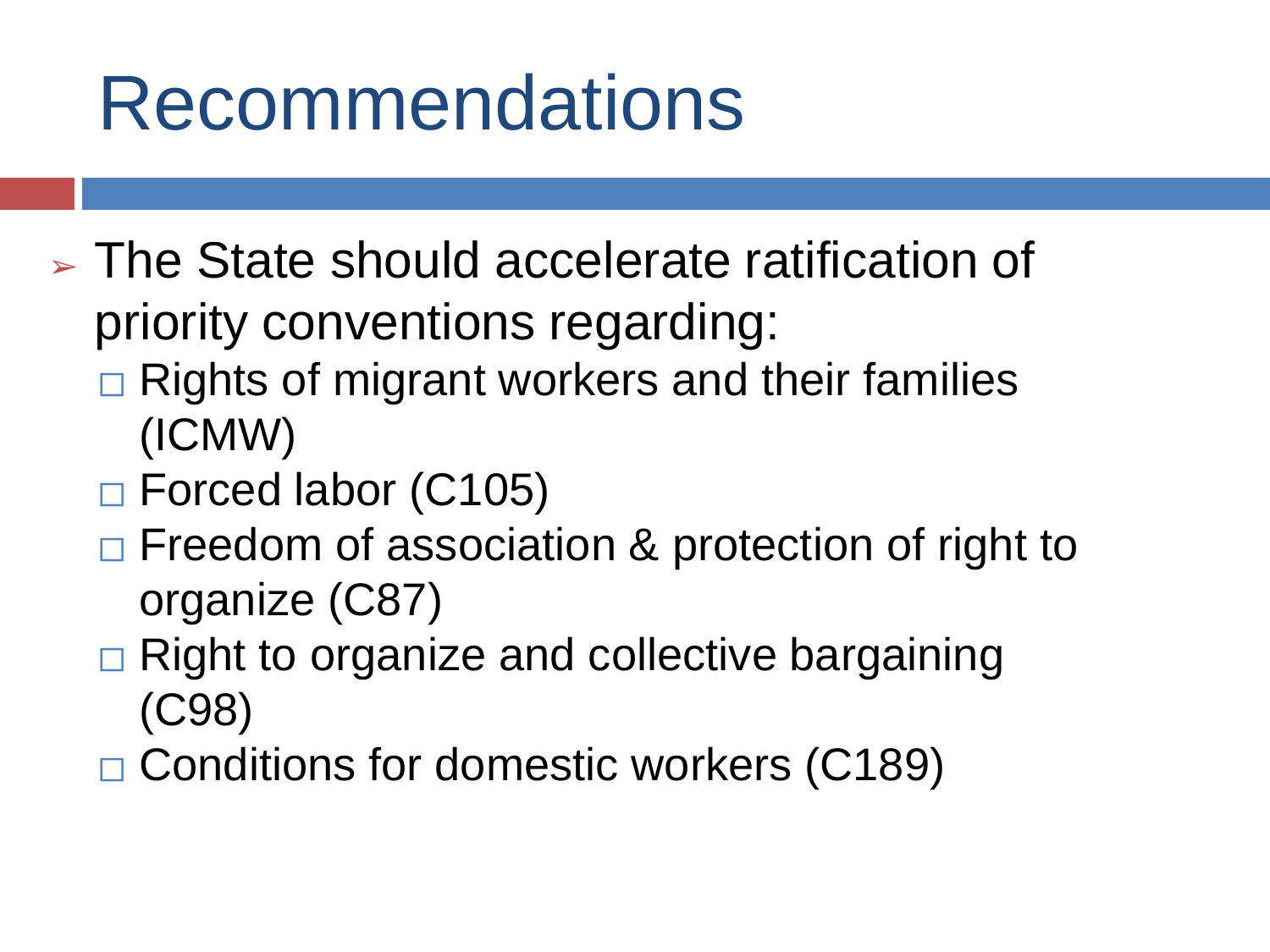# Recommendations

- $\triangleright$  The State should accelerate ratification of priority conventions regarding:
	- $\Box$  Rights of migrant workers and their families (ICMW)
	- ⬜ Forced labor (C105)
	- $\Box$  Freedom of association & protection of right to organize (C87)
	- **□ Right to organize and collective bargaining** (C98)
	- **□ Conditions for domestic workers (C189)**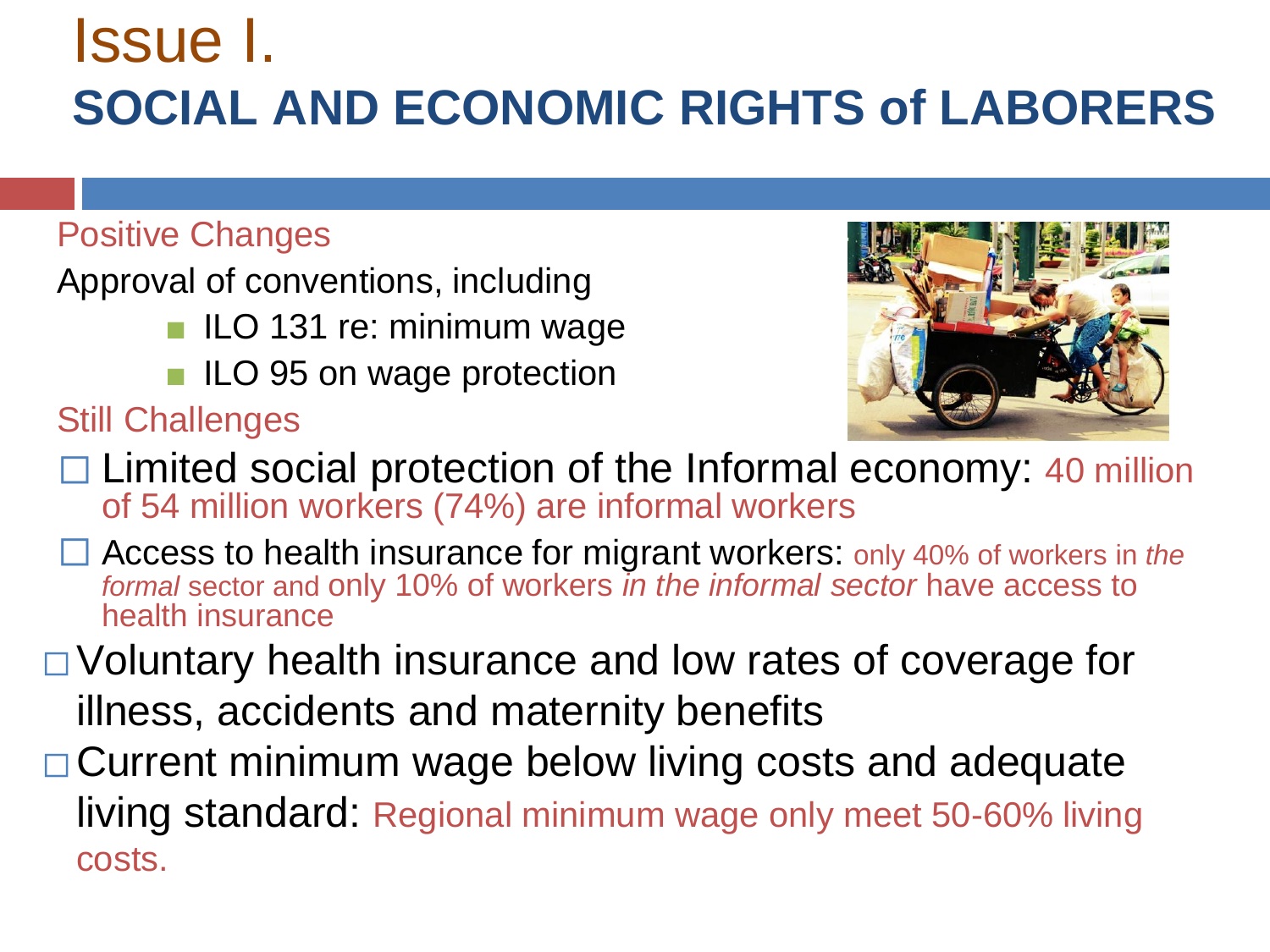#### Issue I. **SOCIAL AND ECONOMIC RIGHTS of LABORERS**

#### Positive Changes

Approval of conventions, including

- ILO 131 re: minimum wage
- ILO 95 on wage protection

Still Challenges



- $\Box$  Limited social protection of the Informal economy: 40 million of 54 million workers (74%) are informal workers
- ⬜ Access to health insurance for migrant workers: only 40% of workers in *the formal* sector and only 10% of workers *in the informal sector* have access to health insurance
- ⬜Voluntary health insurance and low rates of coverage for illness, accidents and maternity benefits
- **□Current minimum wage below living costs and adequate** living standard: Regional minimum wage only meet 50-60% living costs.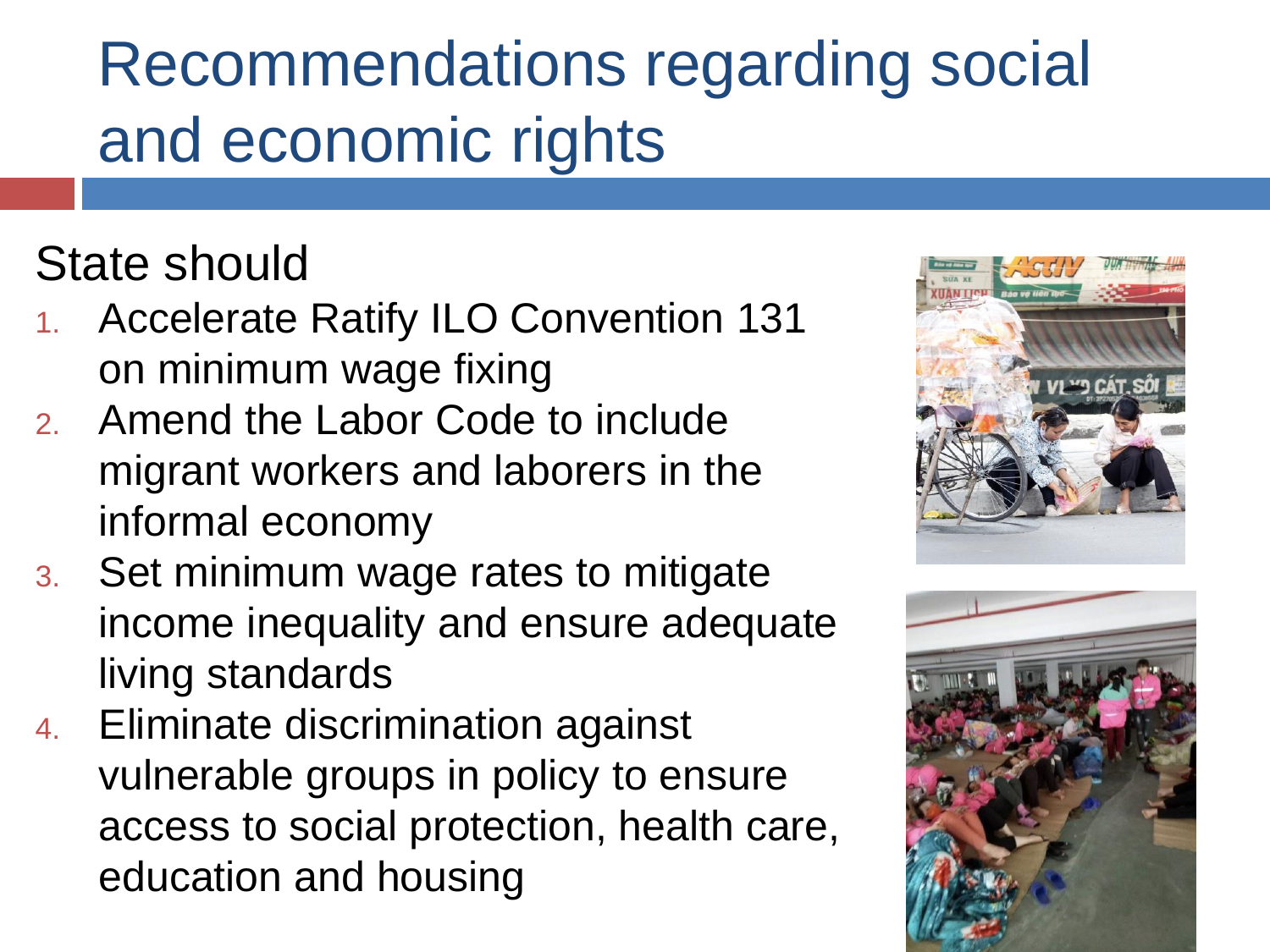## Recommendations regarding social and economic rights

#### State should

- 1. Accelerate Ratify ILO Convention 131 on minimum wage fixing
- 2. Amend the Labor Code to include migrant workers and laborers in the informal economy
- 3. Set minimum wage rates to mitigate income inequality and ensure adequate living standards
- 4. Eliminate discrimination against vulnerable groups in policy to ensure access to social protection, health care, education and housing



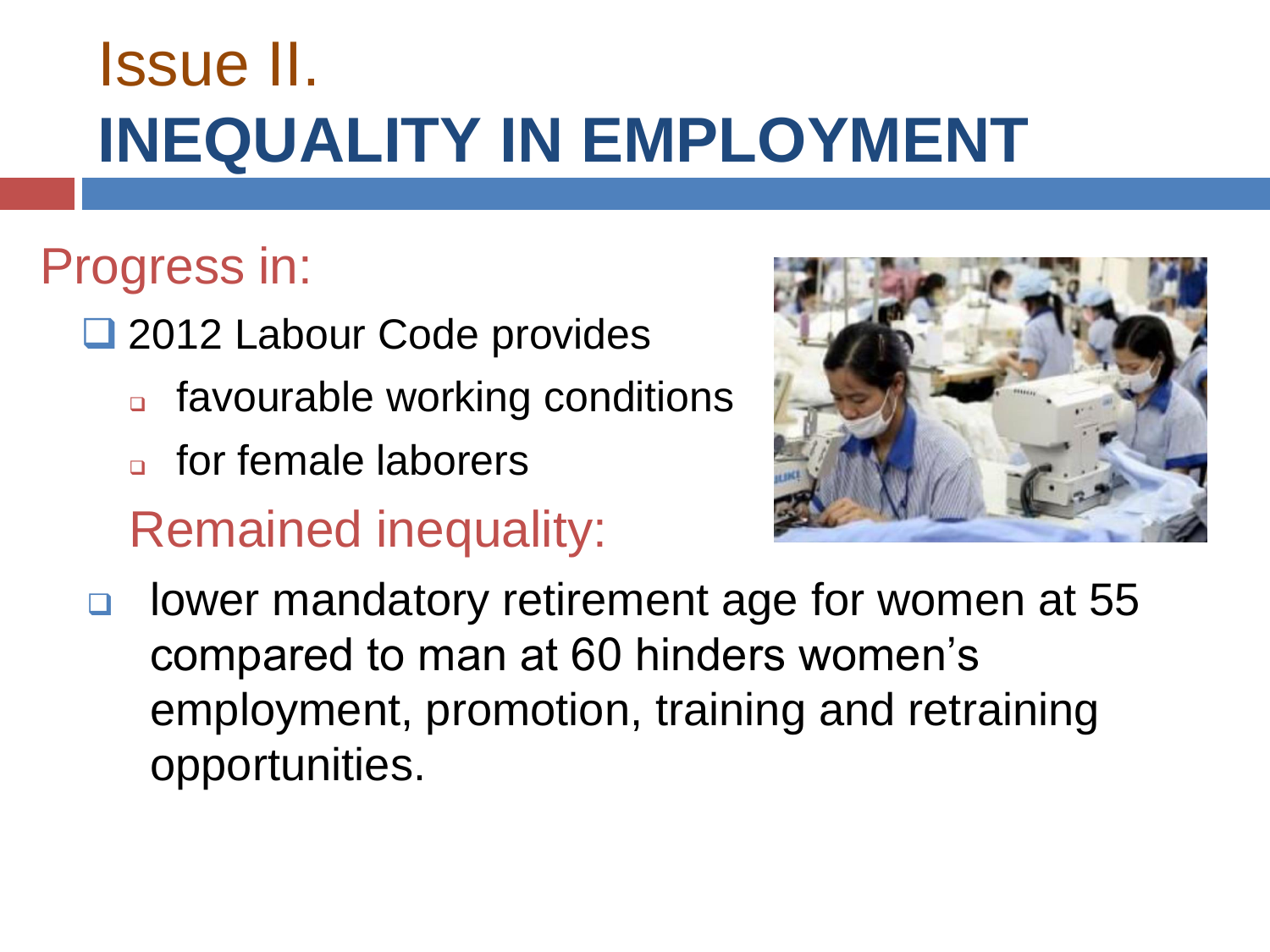### Issue II. **INEQUALITY IN EMPLOYMENT**

#### Progress in:

- ❑ 2012 Labour Code provides
	- ❑ favourable working conditions
	- □ for female laborers

Remained inequality:



❑ lower mandatory retirement age for women at 55 compared to man at 60 hinders women's employment, promotion, training and retraining opportunities.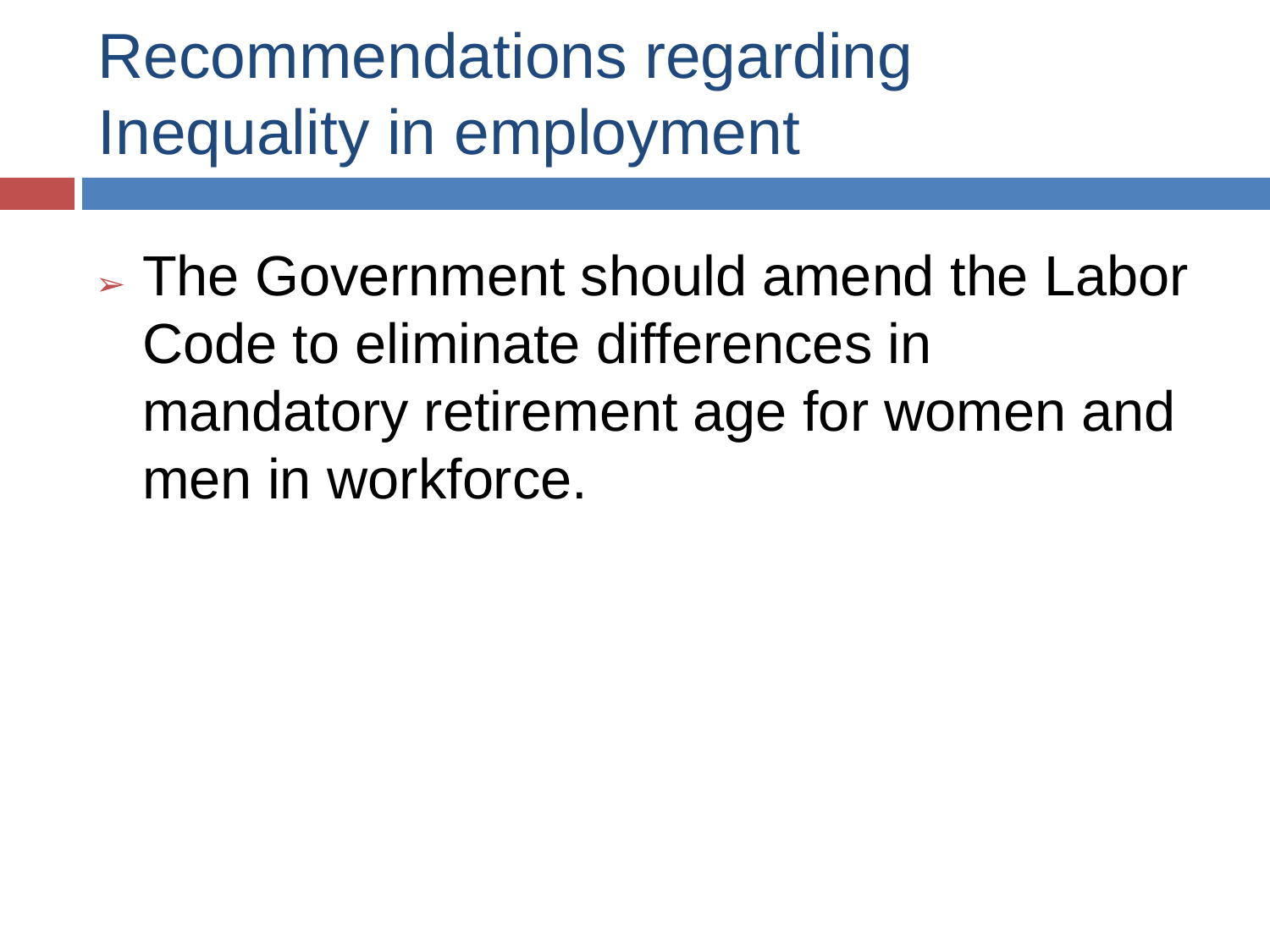Recommendations regarding Inequality in employment

➢ The Government should amend the Labor Code to eliminate differences in mandatory retirement age for women and men in workforce.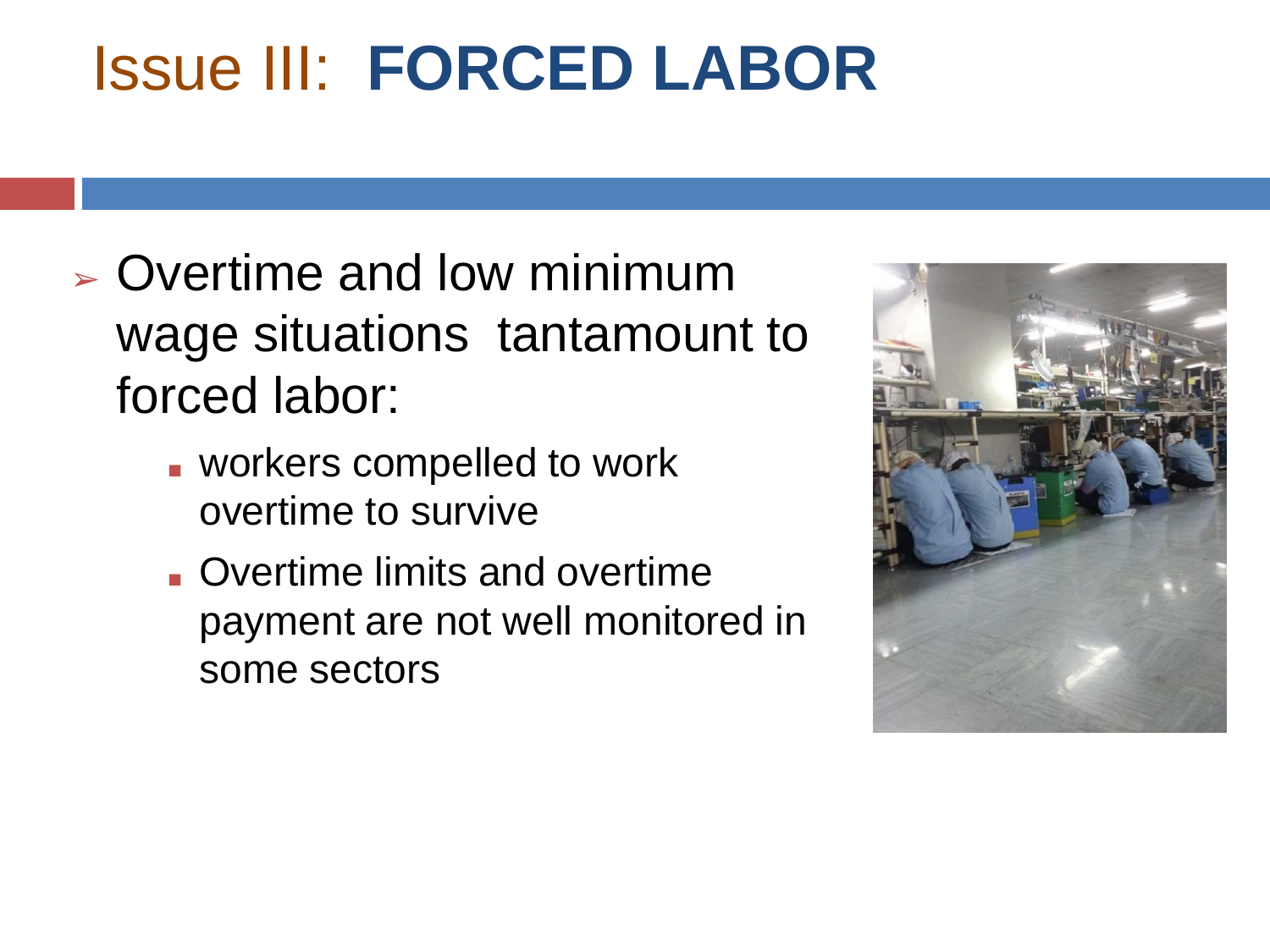### Issue III: **FORCED LABOR**

- ➢ Overtime and low minimum wage situations tantamount to forced labor:
	- workers compelled to work overtime to survive
	- Overtime limits and overtime payment are not well monitored in some sectors

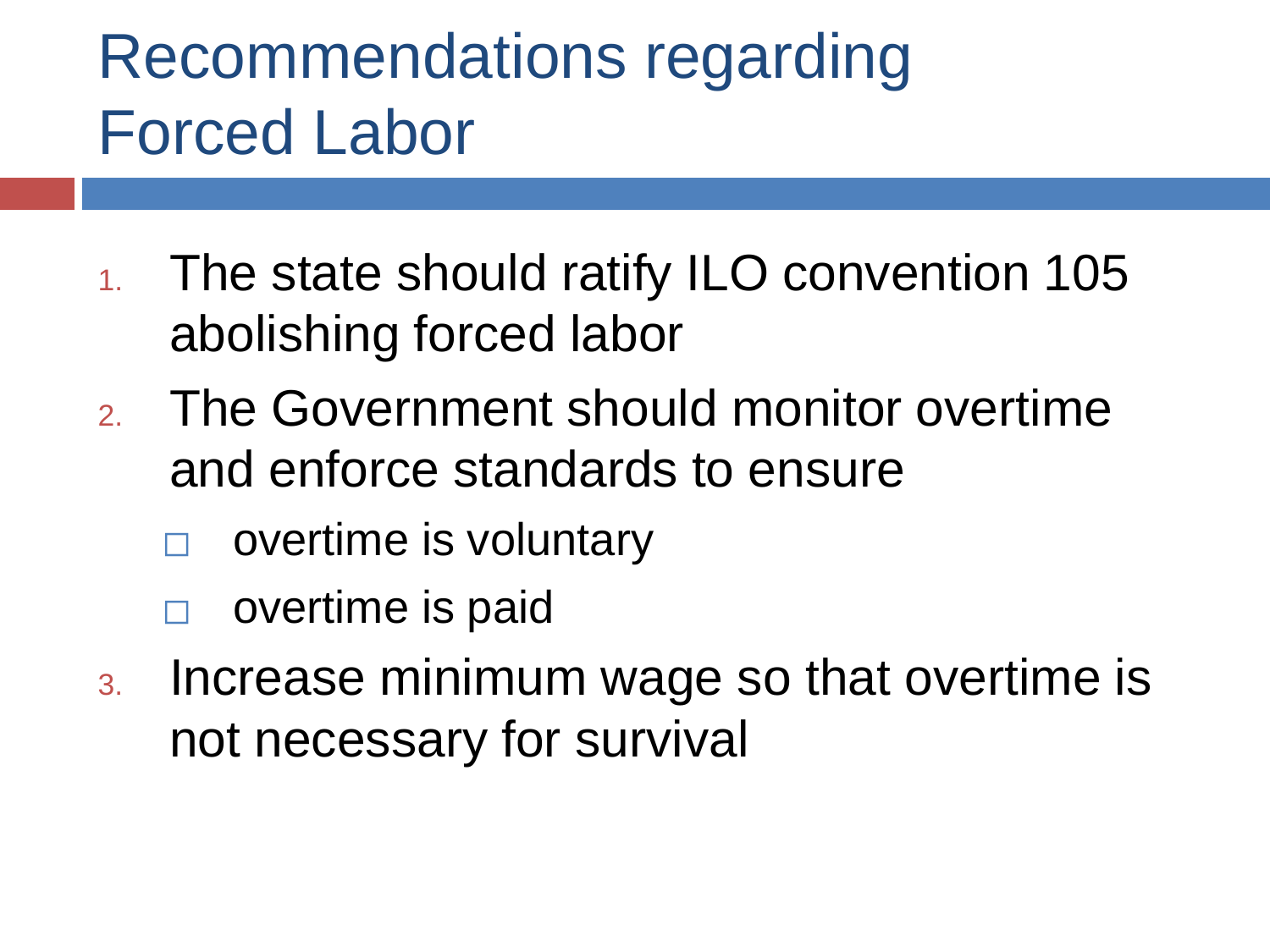## Recommendations regarding Forced Labor

- 1. The state should ratify ILO convention 105 abolishing forced labor
- 2. The Government should monitor overtime and enforce standards to ensure
	- ⬜ overtime is voluntary
	- overtime is paid
- 3. Increase minimum wage so that overtime is not necessary for survival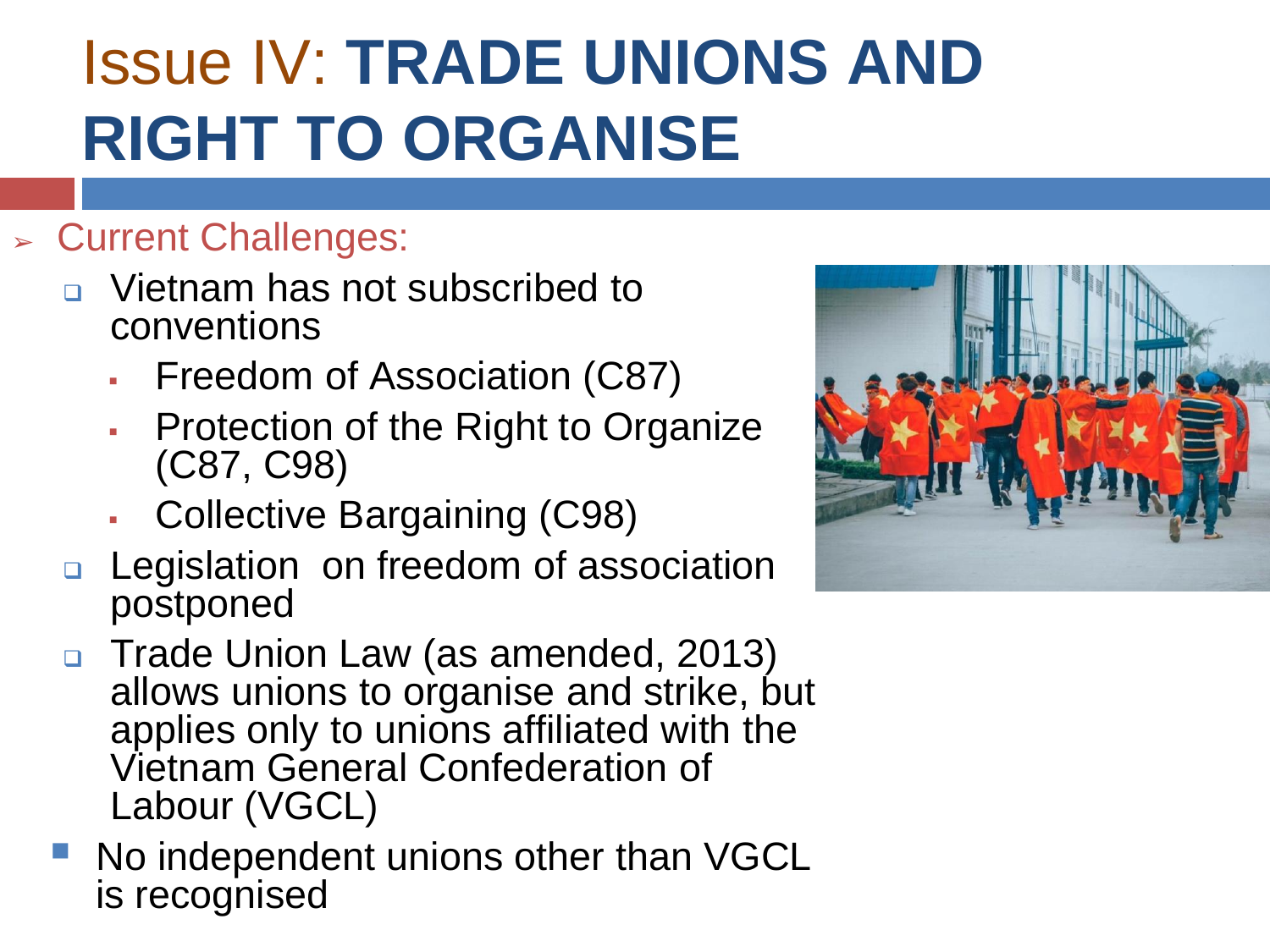## Issue IV: **TRADE UNIONS AND RIGHT TO ORGANISE**

#### ➢ Current Challenges:

- ❑ Vietnam has not subscribed to conventions
	- Freedom of Association (C87)
	- **Protection of the Right to Organize** (C87, C98)
	- Collective Bargaining (C98)
- ❑ Legislation on freedom of association postponed
- ❑ Trade Union Law (as amended, 2013) allows unions to organise and strike, but applies only to unions affiliated with the Vietnam General Confederation of Labour (VGCL)
- No independent unions other than VGCL is recognised